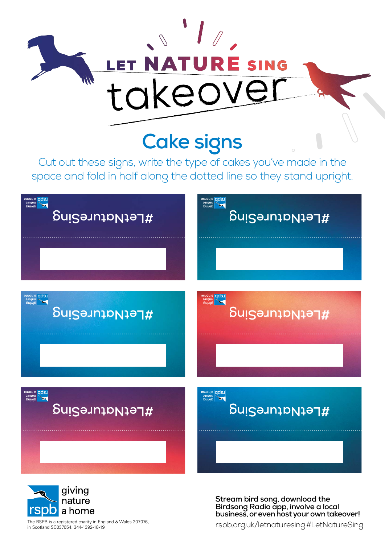

## **Cake signs**

Cut out these signs, write the type of cakes you've made in the space and fold in half along the dotted line so they stand upright.





**Stream bird song, download the Birdsong Radio app, involve a local business, or even host your own takeover!**

in Scotland SC037654. 344-1392-18-19

The RSPB is a registered charity in England & Wales 207076,<br>in Scotland SC037654. 344-1392-18-19<br>The Rolland SC037654. 344-1392-18-19